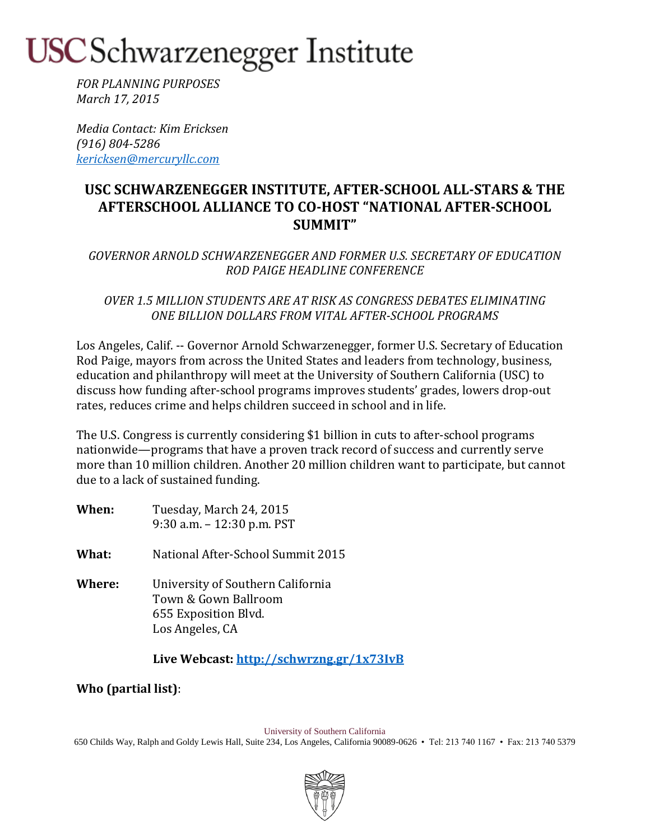### USC Schwarzenegger Institute

*FOR PLANNING PURPOSES March 17, 2015*

*Media Contact: Kim Ericksen (916) 804-5286 [kericksen@mercuryllc.com](mailto:kericksen@mercuryllc.com)*

### **USC SCHWARZENEGGER INSTITUTE, AFTER-SCHOOL ALL-STARS & THE AFTERSCHOOL ALLIANCE TO CO-HOST "NATIONAL AFTER-SCHOOL SUMMIT"**

*GOVERNOR ARNOLD SCHWARZENEGGER AND FORMER U.S. SECRETARY OF EDUCATION ROD PAIGE HEADLINE CONFERENCE*

*OVER 1.5 MILLION STUDENTS ARE AT RISK AS CONGRESS DEBATES ELIMINATING ONE BILLION DOLLARS FROM VITAL AFTER-SCHOOL PROGRAMS*

Los Angeles, Calif. -- Governor Arnold Schwarzenegger, former U.S. Secretary of Education Rod Paige, mayors from across the United States and leaders from technology, business, education and philanthropy will meet at the University of Southern California (USC) to discuss how funding after-school programs improves students' grades, lowers drop-out rates, reduces crime and helps children succeed in school and in life.

The U.S. Congress is currently considering \$1 billion in cuts to after-school programs nationwide—programs that have a proven track record of success and currently serve more than 10 million children. Another 20 million children want to participate, but cannot due to a lack of sustained funding.

- **When:** Tuesday, March 24, 2015 9:30 a.m. – 12:30 p.m. PST
- **What:** National After-School Summit 2015
- **Where:** University of Southern California Town & Gown Ballroom 655 Exposition Blvd. Los Angeles, CA

**Live Webcast[: http://schwrzng.gr/1x73IvB](http://schwrzng.gr/1x73IvB)**

**Who (partial list)**:

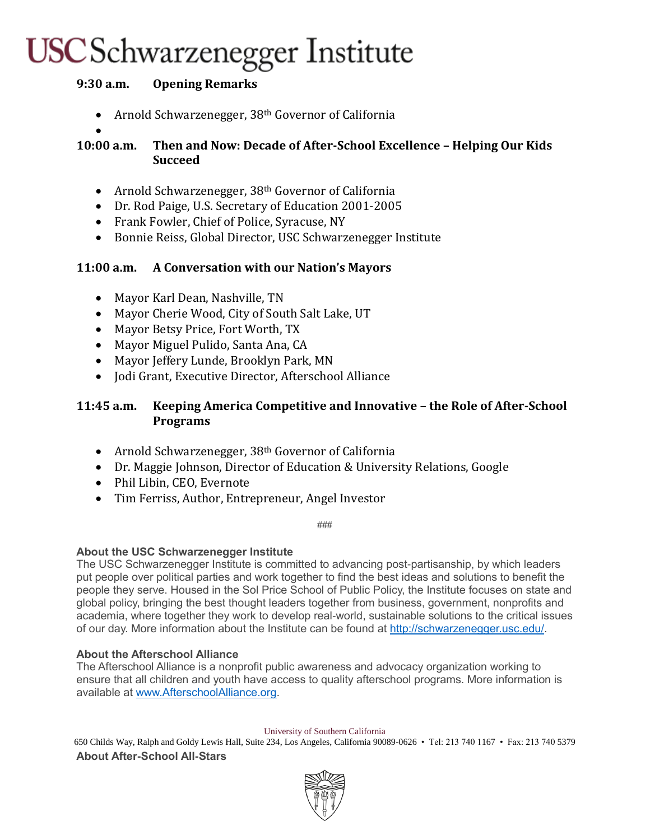## USC Schwarzenegger Institute

### **9:30 a.m. Opening Remarks**

- Arnold Schwarzenegger, 38<sup>th</sup> Governor of California
- $\bullet$
- **10:00 a.m. Then and Now: Decade of After-School Excellence – Helping Our Kids Succeed**
	- Arnold Schwarzenegger, 38<sup>th</sup> Governor of California
	- Dr. Rod Paige, U.S. Secretary of Education 2001-2005
	- Frank Fowler, Chief of Police, Syracuse, NY
	- Bonnie Reiss, Global Director, USC Schwarzenegger Institute

### **11:00 a.m. A Conversation with our Nation's Mayors**

- Mayor Karl Dean, Nashville, TN
- Mayor Cherie Wood, City of South Salt Lake, UT
- Mayor Betsy Price, Fort Worth, TX
- Mayor Miguel Pulido, Santa Ana, CA
- Mayor Jeffery Lunde, Brooklyn Park, MN
- Jodi Grant, Executive Director, Afterschool Alliance

### **11:45 a.m. Keeping America Competitive and Innovative – the Role of After-School Programs**

- Arnold Schwarzenegger, 38<sup>th</sup> Governor of California
- Dr. Maggie Johnson, Director of Education & University Relations, Google
- Phil Libin, CEO, Evernote
- Tim Ferriss, Author, Entrepreneur, Angel Investor

###

#### **About the USC Schwarzenegger Institute**

The USC Schwarzenegger Institute is committed to advancing post-partisanship, by which leaders put people over political parties and work together to find the best ideas and solutions to benefit the people they serve. Housed in the Sol Price School of Public Policy, the Institute focuses on state and global policy, bringing the best thought leaders together from business, government, nonprofits and academia, where together they work to develop real-world, sustainable solutions to the critical issues of our day. More information about the Institute can be found at [http://schwarzenegger.usc.edu/.](http://schwarzenegger.usc.edu/)

#### **About the Afterschool Alliance**

The Afterschool Alliance is a nonprofit public awareness and advocacy organization working to ensure that all children and youth have access to quality afterschool programs. More information is available at [www.AfterschoolAlliance.org.](http://www.afterschoolalliance.org/)

#### University of Southern California

650 Childs Way, Ralph and Goldy Lewis Hall, Suite 234, Los Angeles, California 90089-0626 • Tel: 213 740 1167 • Fax: 213 740 5379 **About After-School All-Stars**